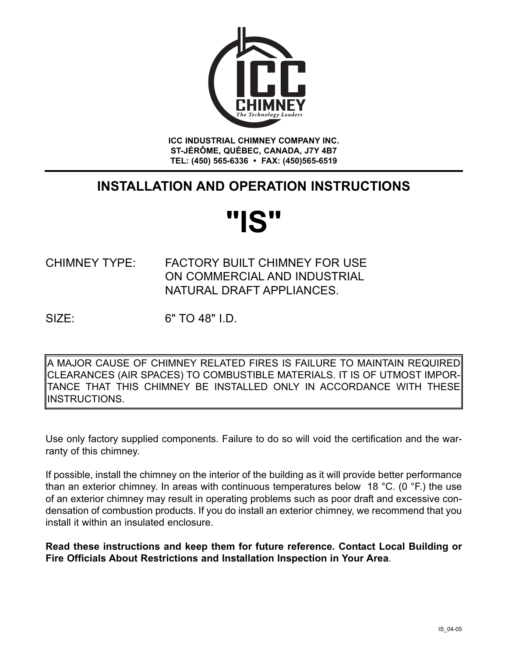

**ICC INDUSTRIAL CHIMNEY COMPANY INC. ST-JÉRÔME, QUÉBEC, CANADA, J7Y 4B7 TEL: (450) 565-6336 • FAX: (450)565-6519**

# **INSTALLATION AND OPERATION INSTRUCTIONS**

# **"IS"**

# CHIMNEY TYPE: FACTORY BUILT CHIMNEY FOR USE ON COMMERCIAL AND INDUSTRIAL NATURAL DRAFT APPLIANCES.

SIZE: 6" TO 48" I.D.

A MAJOR CAUSE OF CHIMNEY RELATED FIRES IS FAILURE TO MAINTAIN REQUIRED CLEARANCES (AIR SPACES) TO COMBUSTIBLE MATERIALS. IT IS OF UTMOST IMPOR-TANCE THAT THIS CHIMNEY BE INSTALLED ONLY IN ACCORDANCE WITH THESE INSTRUCTIONS.

Use only factory supplied components. Failure to do so will void the certification and the warranty of this chimney.

If possible, install the chimney on the interior of the building as it will provide better performance than an exterior chimney. In areas with continuous temperatures below 18 °C. (0 °F.) the use of an exterior chimney may result in operating problems such as poor draft and excessive condensation of combustion products. If you do install an exterior chimney, we recommend that you install it within an insulated enclosure.

**Read these instructions and keep them for future reference. Contact Local Building or Fire Officials About Restrictions and Installation Inspection in Your Area**.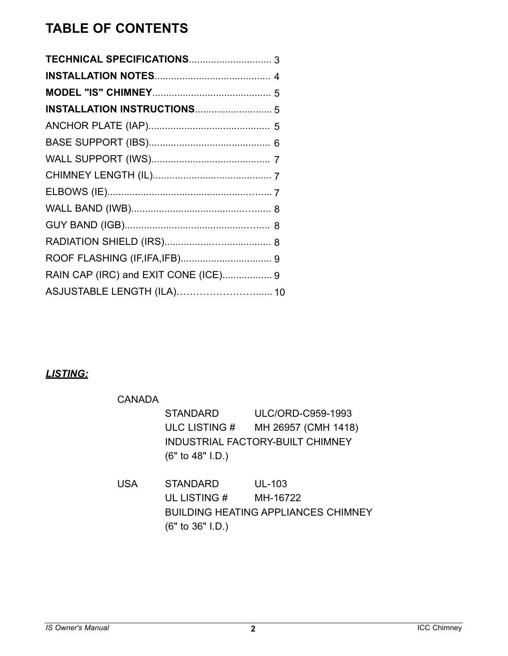# **TABLE OF CONTENTS**

| RAIN CAP (IRC) and EXIT CONE (ICE) 9 |
|--------------------------------------|
| ASJUSTABLE LENGTH (ILA) 10           |

# *LISTING:*

| CANADA     |                    |                                  |
|------------|--------------------|----------------------------------|
|            | <b>STANDARD</b>    | ULC/ORD-C959-1993                |
|            | ULC LISTING #      | MH 26957 (CMH 1418)              |
|            |                    | INDUSTRIAL FACTORY-BUILT CHIMNEY |
|            | $(6"$ to 48" I.D.) |                                  |
|            |                    |                                  |
| <b>USA</b> | <b>STANDARD</b>    | <b>UL-103</b>                    |
|            | UL LISTING #       | MH-16722                         |

BUILDING HEATING APPLIANCES CHIMNEY (6" to 36" I.D.)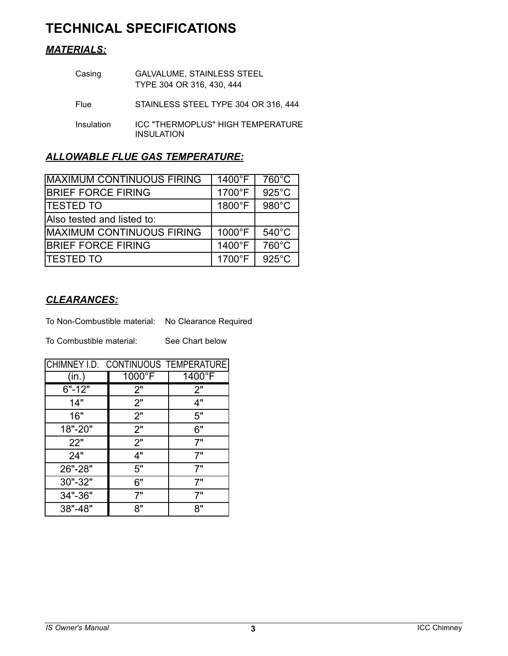# **TECHNICAL SPECIFICATIONS**

## *MATERIALS:*

| Casing     | <b>GALVALUME, STAINLESS STEEL</b><br>TYPE 304 OR 316, 430, 444 |
|------------|----------------------------------------------------------------|
| Flue       | STAINLESS STEEL TYPE 304 OR 316, 444                           |
| Insulation | ICC "THERMOPLUS" HIGH TEMPERATURE<br><b>INSULATION</b>         |

### *ALLOWABLE FLUE GAS TEMPERATURE:*

| IMAXIMUM CONTINUOUS FIRING       | 1400°F | $760^{\circ}$ C |
|----------------------------------|--------|-----------------|
|                                  |        |                 |
| <b>BRIEF FORCE FIRING</b>        | 1700°F | $925^{\circ}$ C |
| <b>TESTED TO</b>                 | 1800°F | 980°C           |
| Also tested and listed to:       |        |                 |
| <b>MAXIMUM CONTINUOUS FIRING</b> | 1000°F | $540^{\circ}$ C |
| <b>BRIEF FORCE FIRING</b>        | 1400°F | 760°C           |
| <b>ITESTED TO</b>                | 1700°F | $925^{\circ}$ C |

## *CLEARANCES:*

To Non-Combustible material: No Clearance Required

To Combustible material: See Chart below

|            | CHIMNEY I.D. CONTINUOUS TEMPERATURE |        |  |  |  |  |  |
|------------|-------------------------------------|--------|--|--|--|--|--|
| (in.       | $1000^{\circ}$ F                    | 1400°F |  |  |  |  |  |
| $6" - 12"$ | 2"                                  | 2"     |  |  |  |  |  |
| 14"        | 2"                                  | 4"     |  |  |  |  |  |
| 16"        | 2"                                  | 5"     |  |  |  |  |  |
| 18"-20"    | 2"                                  | 6"     |  |  |  |  |  |
| 22"        | 2"                                  | 7"     |  |  |  |  |  |
| 24"        | 4"                                  | 7"     |  |  |  |  |  |
| 26"-28"    | 5"                                  | 7"     |  |  |  |  |  |
| 30"-32"    | 6"                                  | 7"     |  |  |  |  |  |
| 34"-36"    | 7"                                  | 7"     |  |  |  |  |  |
| 38"-48"    | 8"                                  | 8"     |  |  |  |  |  |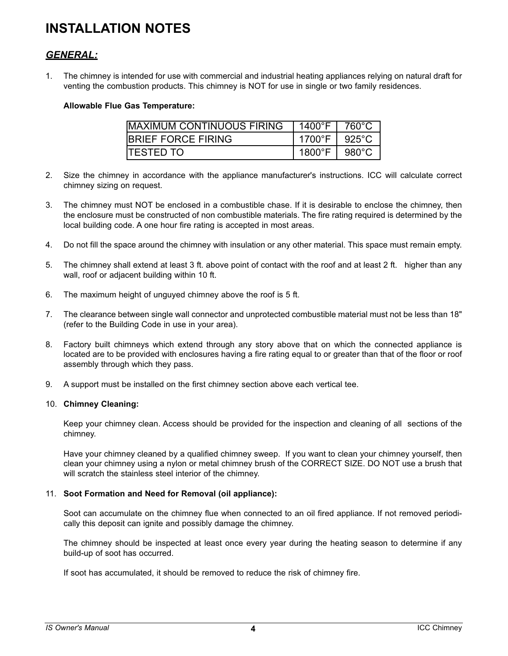# **INSTALLATION NOTES**

#### *GENERAL:*

1. The chimney is intended for use with commercial and industrial heating appliances relying on natural draft for venting the combustion products. This chimney is NOT for use in single or two family residences.

#### **Allowable Flue Gas Temperature:**

| <b>IMAXIMUM CONTINUOUS FIRING</b> | L 1400°F L       | 760°C            |
|-----------------------------------|------------------|------------------|
| <b>IBRIEF FORCE FIRING</b>        | 1700°F           | 925°C            |
| <b>ITESTED TO</b>                 | 1800 $\degree$ F | 980 $^{\circ}$ C |

- 2. Size the chimney in accordance with the appliance manufacturer's instructions. ICC will calculate correct chimney sizing on request.
- 3. The chimney must NOT be enclosed in a combustible chase. If it is desirable to enclose the chimney, then the enclosure must be constructed of non combustible materials. The fire rating required is determined by the local building code. A one hour fire rating is accepted in most areas.
- 4. Do not fill the space around the chimney with insulation or any other material. This space must remain empty.
- 5. The chimney shall extend at least 3 ft. above point of contact with the roof and at least 2 ft. higher than any wall, roof or adjacent building within 10 ft.
- 6. The maximum height of unguyed chimney above the roof is 5 ft.
- 7. The clearance between single wall connector and unprotected combustible material must not be less than 18" (refer to the Building Code in use in your area).
- 8. Factory built chimneys which extend through any story above that on which the connected appliance is located are to be provided with enclosures having a fire rating equal to or greater than that of the floor or roof assembly through which they pass.
- 9. A support must be installed on the first chimney section above each vertical tee.

#### 10. **Chimney Cleaning:**

Keep your chimney clean. Access should be provided for the inspection and cleaning of all sections of the chimney.

Have your chimney cleaned by a qualified chimney sweep. If you want to clean your chimney yourself, then clean your chimney using a nylon or metal chimney brush of the CORRECT SIZE. DO NOT use a brush that will scratch the stainless steel interior of the chimney.

#### 11. **Soot Formation and Need for Removal (oil appliance):**

Soot can accumulate on the chimney flue when connected to an oil fired appliance. If not removed periodically this deposit can ignite and possibly damage the chimney.

The chimney should be inspected at least once every year during the heating season to determine if any build-up of soot has occurred.

If soot has accumulated, it should be removed to reduce the risk of chimney fire.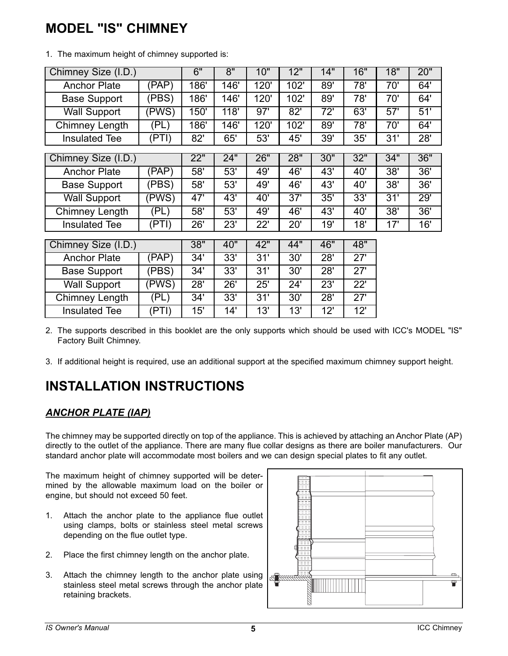# **MODEL "IS" CHIMNEY**

| Chimney Size (I.D.)  |       | 6"   | 8"   | 10"  | 12"  | 14" | 16" | 18" | 20" |
|----------------------|-------|------|------|------|------|-----|-----|-----|-----|
| <b>Anchor Plate</b>  | (PAP) | 186' | 146' | 120' | 102' | 89' | 78' | 70' | 64' |
| <b>Base Support</b>  | (PBS) | 186' | 146' | 120' | 102' | 89' | 78' | 70' | 64' |
| <b>Wall Support</b>  | (PWS) | 150' | 118' | 97'  | 82'  | 72' | 63' | 57' | 51' |
| Chimney Length       | (PL)  | 186' | 146' | 120' | 102' | 89' | 78' | 70' | 64' |
| <b>Insulated Tee</b> | (PTI) | 82'  | 65'  | 53'  | 45'  | 39' | 35' | 31' | 28' |
|                      |       |      |      |      |      |     |     |     |     |
| Chimney Size (I.D.)  |       | 22"  | 24"  | 26"  | 28"  | 30" | 32" | 34" | 36" |
| <b>Anchor Plate</b>  | (PAP) | 58'  | 53'  | 49'  | 46'  | 43' | 40' | 38' | 36' |
| <b>Base Support</b>  | (PBS) | 58'  | 53'  | 49'  | 46'  | 43' | 40' | 38' | 36' |
| <b>Wall Support</b>  | (PWS) | 47'  | 43'  | 40'  | 37'  | 35' | 33' | 31' | 29' |
| Chimney Length       | (PL)  | 58'  | 53'  | 49'  | 46'  | 43' | 40' | 38' | 36' |
| <b>Insulated Tee</b> | (PTI) | 26'  | 23'  | 22'  | 20'  | 19' | 18' | 17' | 16' |
|                      |       |      |      |      |      |     |     |     |     |
| Chimney Size (I.D.)  |       | 38"  | 40"  | 42"  | 44"  | 46" | 48" |     |     |
| <b>Anchor Plate</b>  | (PAP) | 34'  | 33'  | 31'  | 30'  | 28' | 27' |     |     |
| <b>Base Support</b>  | (PBS) | 34'  | 33'  | 31'  | 30'  | 28' | 27' |     |     |
| <b>Wall Support</b>  | (PWS) | 28'  | 26'  | 25'  | 24'  | 23' | 22' |     |     |
| Chimney Length       | (PL)  | 34'  | 33'  | 31'  | 30'  | 28' | 27' |     |     |
| <b>Insulated Tee</b> | (PTI) | 15'  | 14'  | 13'  | 13'  | 12' | 12' |     |     |

1. The maximum height of chimney supported is:

2. The supports described in this booklet are the only supports which should be used with ICC's MODEL "IS" Factory Built Chimney.

3. If additional height is required, use an additional support at the specified maximum chimney support height.

# **INSTALLATION INSTRUCTIONS**

#### *ANCHOR PLATE (IAP)*

The chimney may be supported directly on top of the appliance. This is achieved by attaching an Anchor Plate (AP) directly to the outlet of the appliance. There are many flue collar designs as there are boiler manufacturers. Our standard anchor plate will accommodate most boilers and we can design special plates to fit any outlet.

The maximum height of chimney supported will be determined by the allowable maximum load on the boiler or engine, but should not exceed 50 feet.

- 1. Attach the anchor plate to the appliance flue outlet using clamps, bolts or stainless steel metal screws depending on the flue outlet type.
- 2. Place the first chimney length on the anchor plate.
- 3. Attach the chimney length to the anchor plate using stainless steel metal screws through the anchor plate retaining brackets.

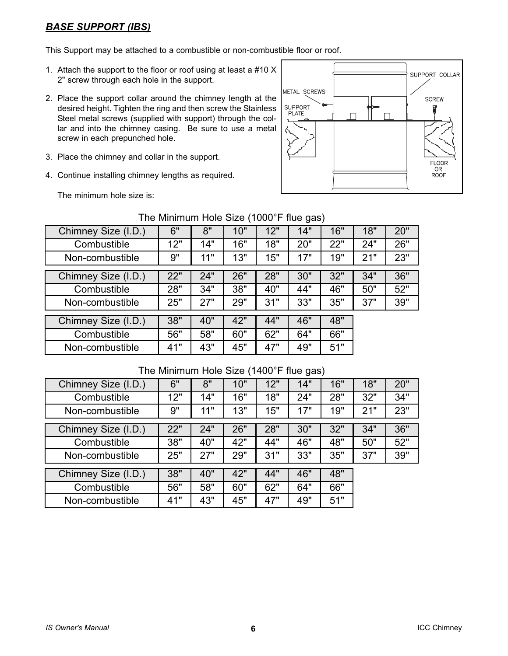### *BASE SUPPORT (IBS)*

This Support may be attached to a combustible or non-combustible floor or roof.

- 1. Attach the support to the floor or roof using at least a #10 X 2" screw through each hole in the support.
- 2. Place the support collar around the chimney length at the desired height. Tighten the ring and then screw the Stainless Steel metal screws (supplied with support) through the collar and into the chimney casing. Be sure to use a metal screw in each prepunched hole.
- 3. Place the chimney and collar in the support.
- 4. Continue installing chimney lengths as required.

SUPPORT COLLAR METAL SCREWS **SCREW SUPPORT** PLATE  $\Box$ ELOOR OR<br>ROOF

The minimum hole size is:

|                     |     |     |     |     | $\sim$ $\sim$ $\sim$ $\sim$ $\sim$ $\sim$ |     |     |     |
|---------------------|-----|-----|-----|-----|-------------------------------------------|-----|-----|-----|
| Chimney Size (I.D.) | 6"  | 8"  | 10" | 12" | 14"                                       | 16" | 18" | 20" |
| Combustible         | 12" | 14" | 16" | 18" | 20"                                       | 22" | 24" | 26" |
| Non-combustible     | 9"  | 11" | 13" | 15" | 17"                                       | 19" | 21" | 23" |
|                     |     |     |     |     |                                           |     |     |     |
| Chimney Size (I.D.) | 22" | 24" | 26" | 28" | 30"                                       | 32" | 34" | 36" |
| Combustible         | 28" | 34" | 38" | 40" | 44"                                       | 46" | 50" | 52" |
| Non-combustible     | 25" | 27" | 29" | 31" | 33"                                       | 35" | 37" | 39" |
|                     |     |     |     |     |                                           |     |     |     |
| Chimney Size (I.D.) | 38" | 40" | 42" | 44" | 46"                                       | 48" |     |     |
| Combustible         | 56" | 58" | 60" | 62" | 64"                                       | 66" |     |     |
| Non-combustible     | 41" | 43" | 45" | 47" | 49"                                       | 51" |     |     |

#### The Minimum Hole Size (1000°F flue gas)

#### The Minimum Hole Size (1400°F flue gas)

| Chimney Size (I.D.) | 6"  | 8"  | 10" | 12" | 14" | 16" | 18" | 20" |
|---------------------|-----|-----|-----|-----|-----|-----|-----|-----|
| Combustible         | 12" | 14" | 16" | 18" | 24" | 28" | 32" | 34" |
| Non-combustible     | 9"  | 11" | 13" | 15" | 17" | 19" | 21" | 23" |
|                     |     |     |     |     |     |     |     |     |
| Chimney Size (I.D.) | 22" | 24" | 26" | 28" | 30" | 32" | 34" | 36" |
| Combustible         | 38" | 40" | 42" | 44" | 46" | 48" | 50" | 52" |
| Non-combustible     | 25" | 27" | 29" | 31" | 33" | 35" | 37" | 39" |
|                     |     |     |     |     |     |     |     |     |
| Chimney Size (I.D.) | 38" | 40" | 42" | 44" | 46" | 48" |     |     |
| Combustible         | 56" | 58" | 60" | 62" | 64" | 66" |     |     |
| Non-combustible     | 41" | 43" | 45" | 47" | 49" | 51" |     |     |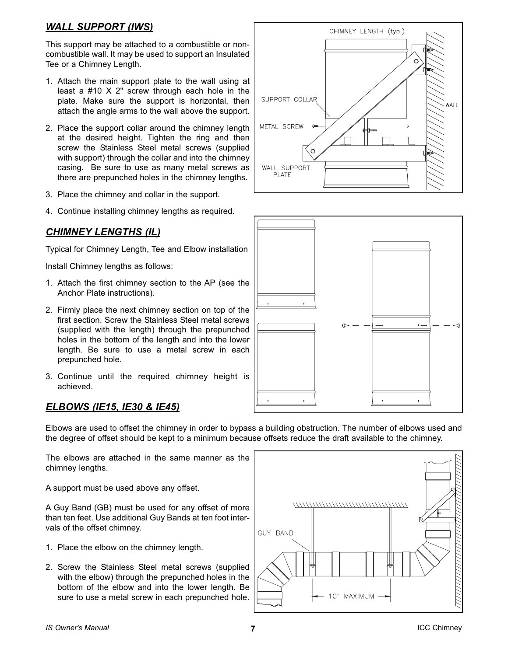#### *WALL SUPPORT (IWS)*

This support may be attached to a combustible or noncombustible wall. It may be used to support an Insulated Tee or a Chimney Length.

- 1. Attach the main support plate to the wall using at least a #10 X 2" screw through each hole in the plate. Make sure the support is horizontal, then attach the angle arms to the wall above the support.
- 2. Place the support collar around the chimney length at the desired height. Tighten the ring and then screw the Stainless Steel metal screws (supplied with support) through the collar and into the chimney casing. Be sure to use as many metal screws as there are prepunched holes in the chimney lengths.
- 3. Place the chimney and collar in the support.
- 4. Continue installing chimney lengths as required.

## *CHIMNEY LENGTHS (IL)*

Typical for Chimney Length, Tee and Elbow installation

Install Chimney lengths as follows:

- 1. Attach the first chimney section to the AP (see the Anchor Plate instructions).
- 2. Firmly place the next chimney section on top of the first section. Screw the Stainless Steel metal screws (supplied with the length) through the prepunched holes in the bottom of the length and into the lower length. Be sure to use a metal screw in each prepunched hole.
- 3. Continue until the required chimney height is achieved.

#### *ELBOWS (IE15, IE30 & IE45)*

Elbows are used to offset the chimney in order to bypass a building obstruction. The number of elbows used and the degree of offset should be kept to a minimum because offsets reduce the draft available to the chimney.

The elbows are attached in the same manner as the chimney lengths.

A support must be used above any offset.

A Guy Band (GB) must be used for any offset of more than ten feet. Use additional Guy Bands at ten foot intervals of the offset chimney.

- 1. Place the elbow on the chimney length.
- 2. Screw the Stainless Steel metal screws (supplied with the elbow) through the prepunched holes in the bottom of the elbow and into the lower length. Be sure to use a metal screw in each prepunched hole.





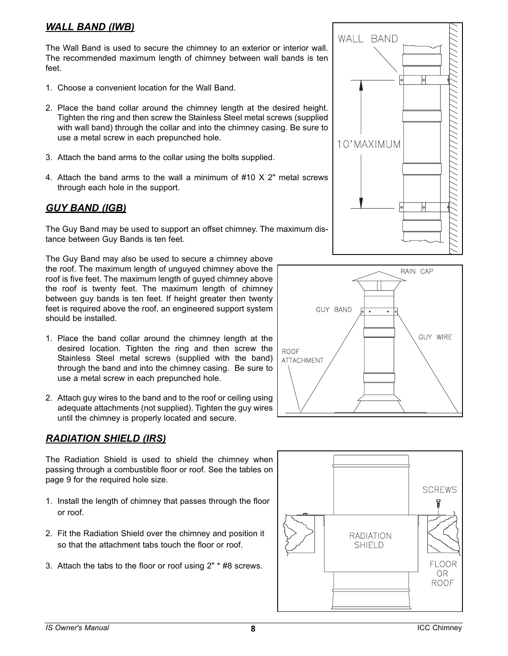### *WALL BAND (IWB)*

The Wall Band is used to secure the chimney to an exterior or interior wall. The recommended maximum length of chimney between wall bands is ten feet.

- 1. Choose a convenient location for the Wall Band.
- 2. Place the band collar around the chimney length at the desired height. Tighten the ring and then screw the Stainless Steel metal screws (supplied with wall band) through the collar and into the chimney casing. Be sure to use a metal screw in each prepunched hole.
- 3. Attach the band arms to the collar using the bolts supplied.
- 4. Attach the band arms to the wall a minimum of #10 X 2" metal screws through each hole in the support.

#### *GUY BAND (IGB)*

The Guy Band may be used to support an offset chimney. The maximum distance between Guy Bands is ten feet.

The Guy Band may also be used to secure a chimney above the roof. The maximum length of unguyed chimney above the roof is five feet. The maximum length of guyed chimney above the roof is twenty feet. The maximum length of chimney between guy bands is ten feet. If height greater then twenty feet is required above the roof, an engineered support system should be installed.

- 1. Place the band collar around the chimney length at the desired location. Tighten the ring and then screw the Stainless Steel metal screws (supplied with the band) through the band and into the chimney casing. Be sure to use a metal screw in each prepunched hole.
- 2. Attach guy wires to the band and to the roof or ceiling using adequate attachments (not supplied). Tighten the guy wires until the chimney is properly located and secure.

#### *RADIATION SHIELD (IRS)*

The Radiation Shield is used to shield the chimney when passing through a combustible floor or roof. See the tables on page 9 for the required hole size.

- 1. Install the length of chimney that passes through the floor or roof.
- 2. Fit the Radiation Shield over the chimney and position it so that the attachment tabs touch the floor or roof.
- 3. Attach the tabs to the floor or roof using 2" \* #8 screws.





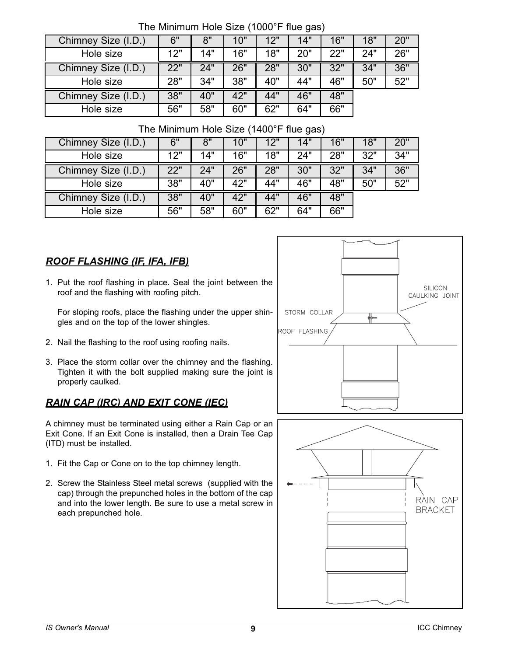| Chimney Size (I.D.) | 6"  | 8"  | 10" | 12" | 14" | 16" | 18" | 20" |
|---------------------|-----|-----|-----|-----|-----|-----|-----|-----|
| Hole size           | 12" | 14" | 16" | 18" | 20" | 22" | 24" | 26" |
| Chimney Size (I.D.) | 22" | 24" | 26" | 28" | 30" | 32" | 34" | 36" |
| Hole size           | 28" | 34" | 38" | 40" | 44" | 46" | 50" | 52" |
| Chimney Size (I.D.) | 38" | 40" | 42" | 44" | 46" | 48" |     |     |
| Hole size           | 56" | 58" | 60" | 62" | 64" | 66" |     |     |

#### The Minimum Hole Size (1000°F flue gas)

#### The Minimum Hole Size (1400°F flue gas)

| Chimney Size (I.D.) | 6"  | 8"  | 10" | 12" | 14" | 16" | 18" | 20" |
|---------------------|-----|-----|-----|-----|-----|-----|-----|-----|
| Hole size           | 12" | 14" | 16" | 18" | 24" | 28" | 32" | 34" |
| Chimney Size (I.D.) | 22" | 24" | 26" | 28" | 30" | 32" | 34" | 36" |
| Hole size           | 38" | 40" | 42" | 44" | 46" | 48" | 50" | 52" |
| Chimney Size (I.D.) | 38" | 40" | 42" | 44" | 46" | 48" |     |     |
| Hole size           | 56" | 58" | 60" | 62" | 64" | 66" |     |     |

# *ROOF FLASHING (IF, IFA, IFB)*

1. Put the roof flashing in place. Seal the joint between the roof and the flashing with roofing pitch.

For sloping roofs, place the flashing under the upper shingles and on the top of the lower shingles.

- 2. Nail the flashing to the roof using roofing nails.
- 3. Place the storm collar over the chimney and the flashing. Tighten it with the bolt supplied making sure the joint is properly caulked.

## *RAIN CAP (IRC) AND EXIT CONE (IEC)*

A chimney must be terminated using either a Rain Cap or an Exit Cone. If an Exit Cone is installed, then a Drain Tee Cap (ITD) must be installed.

- 1. Fit the Cap or Cone on to the top chimney length.
- 2. Screw the Stainless Steel metal screws (supplied with the cap) through the prepunched holes in the bottom of the cap and into the lower length. Be sure to use a metal screw in each prepunched hole.